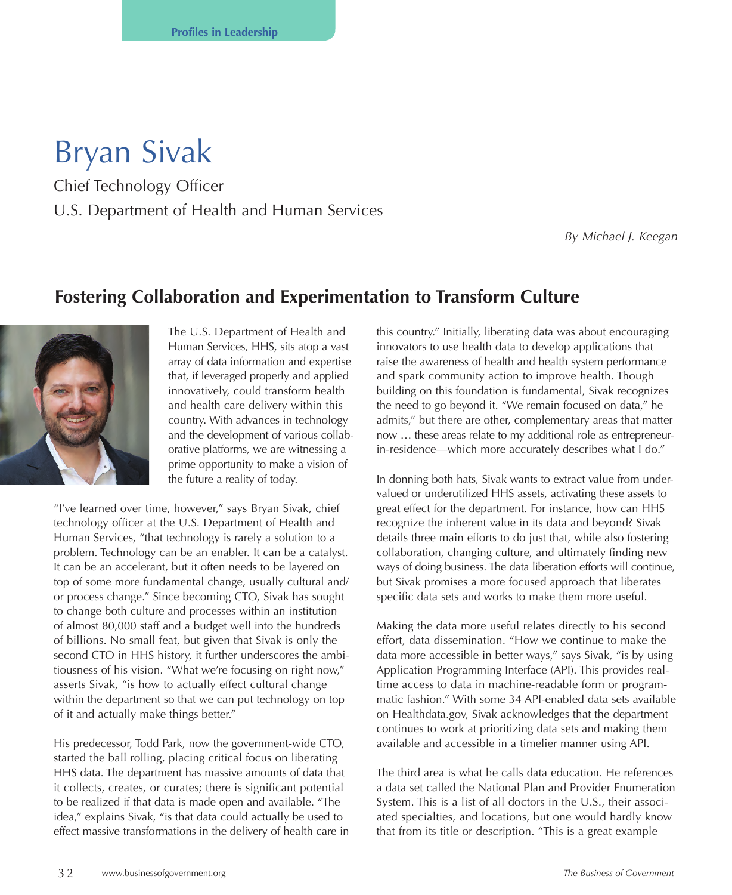## Bryan Sivak

Chief Technology Officer U.S. Department of Health and Human Services

*By Michael J. Keegan*

## **Fostering Collaboration and Experimentation to Transform Culture**



The U.S. Department of Health and Human Services, HHS, sits atop a vast array of data information and expertise that, if leveraged properly and applied innovatively, could transform health and health care delivery within this country. With advances in technology and the development of various collaborative platforms, we are witnessing a prime opportunity to make a vision of the future a reality of today.

"I've learned over time, however," says Bryan Sivak, chief technology officer at the U.S. Department of Health and Human Services, "that technology is rarely a solution to a problem. Technology can be an enabler. It can be a catalyst. It can be an accelerant, but it often needs to be layered on top of some more fundamental change, usually cultural and/ or process change." Since becoming CTO, Sivak has sought to change both culture and processes within an institution of almost 80,000 staff and a budget well into the hundreds of billions. No small feat, but given that Sivak is only the second CTO in HHS history, it further underscores the ambitiousness of his vision. "What we're focusing on right now," asserts Sivak, "is how to actually effect cultural change within the department so that we can put technology on top of it and actually make things better."

His predecessor, Todd Park, now the government-wide CTO, started the ball rolling, placing critical focus on liberating HHS data. The department has massive amounts of data that it collects, creates, or curates; there is significant potential to be realized if that data is made open and available. "The idea," explains Sivak, "is that data could actually be used to effect massive transformations in the delivery of health care in this country." Initially, liberating data was about encouraging innovators to use health data to develop applications that raise the awareness of health and health system performance and spark community action to improve health. Though building on this foundation is fundamental, Sivak recognizes the need to go beyond it. "We remain focused on data," he admits," but there are other, complementary areas that matter now … these areas relate to my additional role as entrepreneurin-residence—which more accurately describes what I do."

In donning both hats, Sivak wants to extract value from undervalued or underutilized HHS assets, activating these assets to great effect for the department. For instance, how can HHS recognize the inherent value in its data and beyond? Sivak details three main efforts to do just that, while also fostering collaboration, changing culture, and ultimately finding new ways of doing business. The data liberation efforts will continue, but Sivak promises a more focused approach that liberates specific data sets and works to make them more useful.

Making the data more useful relates directly to his second effort, data dissemination. "How we continue to make the data more accessible in better ways," says Sivak, "is by using Application Programming Interface (API). This provides realtime access to data in machine-readable form or programmatic fashion." With some 34 API-enabled data sets available on Healthdata.gov, Sivak acknowledges that the department continues to work at prioritizing data sets and making them available and accessible in a timelier manner using API.

The third area is what he calls data education. He references a data set called the National Plan and Provider Enumeration System. This is a list of all doctors in the U.S., their associated specialties, and locations, but one would hardly know that from its title or description. "This is a great example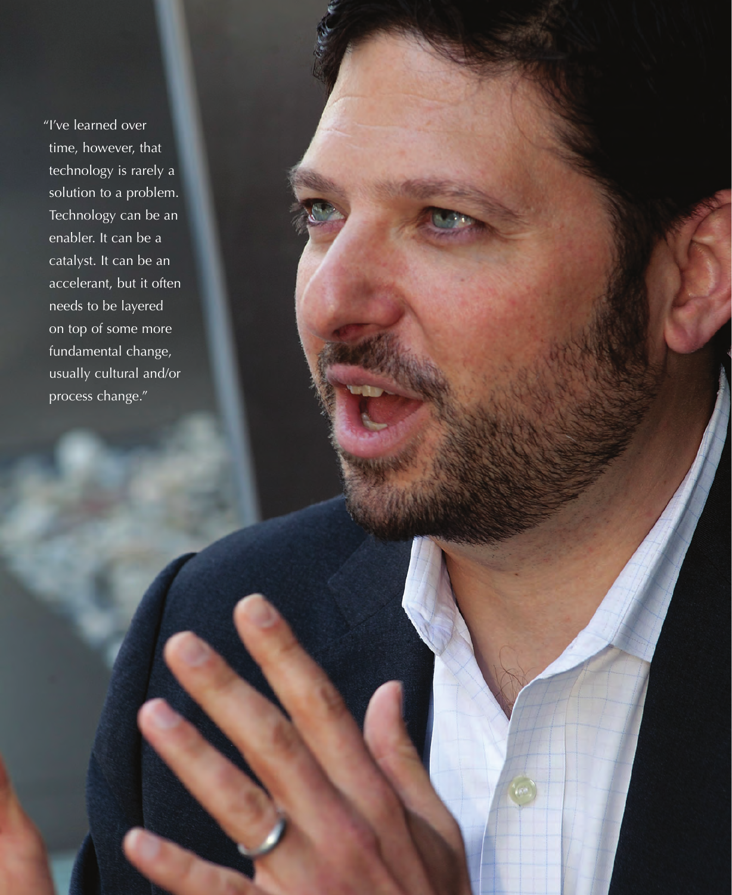"I've learned over time, however, that technology is rarely a solution to a problem. Technology can be an enabler. It can be a catalyst. It can be an accelerant, but it often needs to be layered on top of some more fundamental change, usually cultural and/or process change."

SUMMER 2013 IBM CENTER FOR THE BUSINESS OF CHARLES AND THE BUSINESS OF GOVERNMENT 3 3 3 3 4 4 5 4 5 6 7 7 8 9 9 10